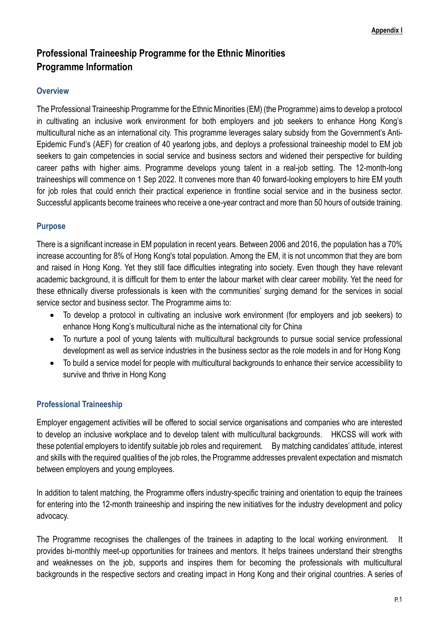# **Professional Traineeship Programme for the Ethnic Minorities Programme Information**

#### **Overview**

The Professional Traineeship Programme for the Ethnic Minorities (EM) (the Programme) aims to develop a protocol in cultivating an inclusive work environment for both employers and job seekers to enhance Hong Kong's multicultural niche as an international city. This programme leverages salary subsidy from the Government's Anti-Epidemic Fund's (AEF) for creation of 40 yearlong jobs, and deploys a professional traineeship model to EM job seekers to gain competencies in social service and business sectors and widened their perspective for building career paths with higher aims. Programme develops young talent in a real-job setting. The 12-month-long traineeships will commence on 1 Sep 2022. It convenes more than 40 forward-looking employers to hire EM youth for job roles that could enrich their practical experience in frontline social service and in the business sector. Successful applicants become trainees who receive a one-year contract and more than 50 hours of outside training.

### **Purpose**

There is a significant increase in EM population in recent years. Between 2006 and 2016, the population has a 70% increase accounting for 8% of Hong Kong's total population. Among the EM, it is not uncommon that they are born and raised in Hong Kong. Yet they still face difficulties integrating into society. Even though they have relevant academic background, it is difficult for them to enter the labour market with clear career mobility. Yet the need for these ethnically diverse professionals is keen with the communities' surging demand for the services in social service sector and business sector. The Programme aims to:

- To develop a protocol in cultivating an inclusive work environment (for employers and job seekers) to enhance Hong Kong's multicultural niche as the international city for China
- To nurture a pool of young talents with multicultural backgrounds to pursue social service professional development as well as service industries in the business sector as the role models in and for Hong Kong
- To build a service model for people with multicultural backgrounds to enhance their service accessibility to survive and thrive in Hong Kong

### **Professional Traineeship**

Employer engagement activities will be offered to social service organisations and companies who are interested to develop an inclusive workplace and to develop talent with multicultural backgrounds. HKCSS will work with these potential employers to identify suitable job roles and requirement. By matching candidates' attitude, interest and skills with the required qualities of the job roles, the Programme addresses prevalent expectation and mismatch between employers and young employees.

In addition to talent matching, the Programme offers industry-specific training and orientation to equip the trainees for entering into the 12-month traineeship and inspiring the new initiatives for the industry development and policy advocacy.

The Programme recognises the challenges of the trainees in adapting to the local working environment. It provides bi-monthly meet-up opportunities for trainees and mentors. It helps trainees understand their strengths and weaknesses on the job, supports and inspires them for becoming the professionals with multicultural backgrounds in the respective sectors and creating impact in Hong Kong and their original countries. A series of